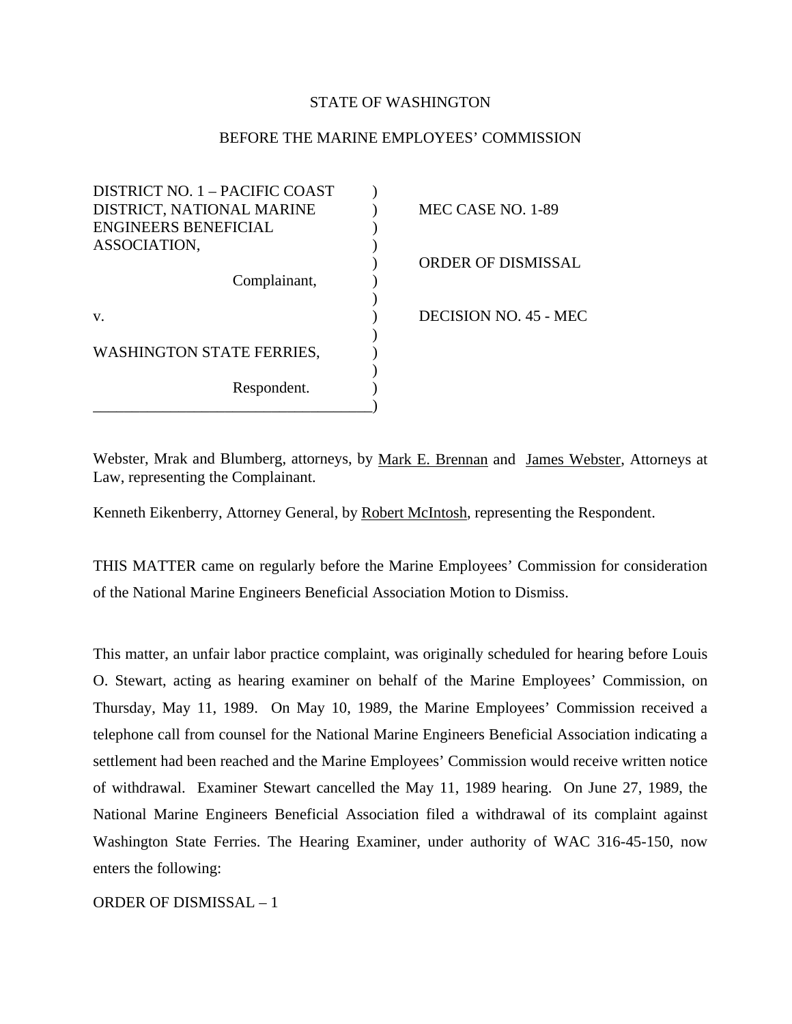## STATE OF WASHINGTON

## BEFORE THE MARINE EMPLOYEES' COMMISSION

| DISTRICT NO. 1 - PACIFIC COAST   |                           |
|----------------------------------|---------------------------|
| DISTRICT, NATIONAL MARINE        | MEC CASE NO. 1-89         |
| <b>ENGINEERS BENEFICIAL</b>      |                           |
| ASSOCIATION,                     |                           |
|                                  | <b>ORDER OF DISMISSAL</b> |
| Complainant,                     |                           |
|                                  |                           |
| V.                               | DECISION NO. 45 - MEC     |
|                                  |                           |
| <b>WASHINGTON STATE FERRIES,</b> |                           |
|                                  |                           |
| Respondent.                      |                           |
|                                  |                           |

Webster, Mrak and Blumberg, attorneys, by Mark E. Brennan and James Webster, Attorneys at Law, representing the Complainant.

Kenneth Eikenberry, Attorney General, by Robert McIntosh, representing the Respondent.

THIS MATTER came on regularly before the Marine Employees' Commission for consideration of the National Marine Engineers Beneficial Association Motion to Dismiss.

This matter, an unfair labor practice complaint, was originally scheduled for hearing before Louis O. Stewart, acting as hearing examiner on behalf of the Marine Employees' Commission, on Thursday, May 11, 1989. On May 10, 1989, the Marine Employees' Commission received a telephone call from counsel for the National Marine Engineers Beneficial Association indicating a settlement had been reached and the Marine Employees' Commission would receive written notice of withdrawal. Examiner Stewart cancelled the May 11, 1989 hearing. On June 27, 1989, the National Marine Engineers Beneficial Association filed a withdrawal of its complaint against Washington State Ferries. The Hearing Examiner, under authority of WAC 316-45-150, now enters the following:

ORDER OF DISMISSAL – 1